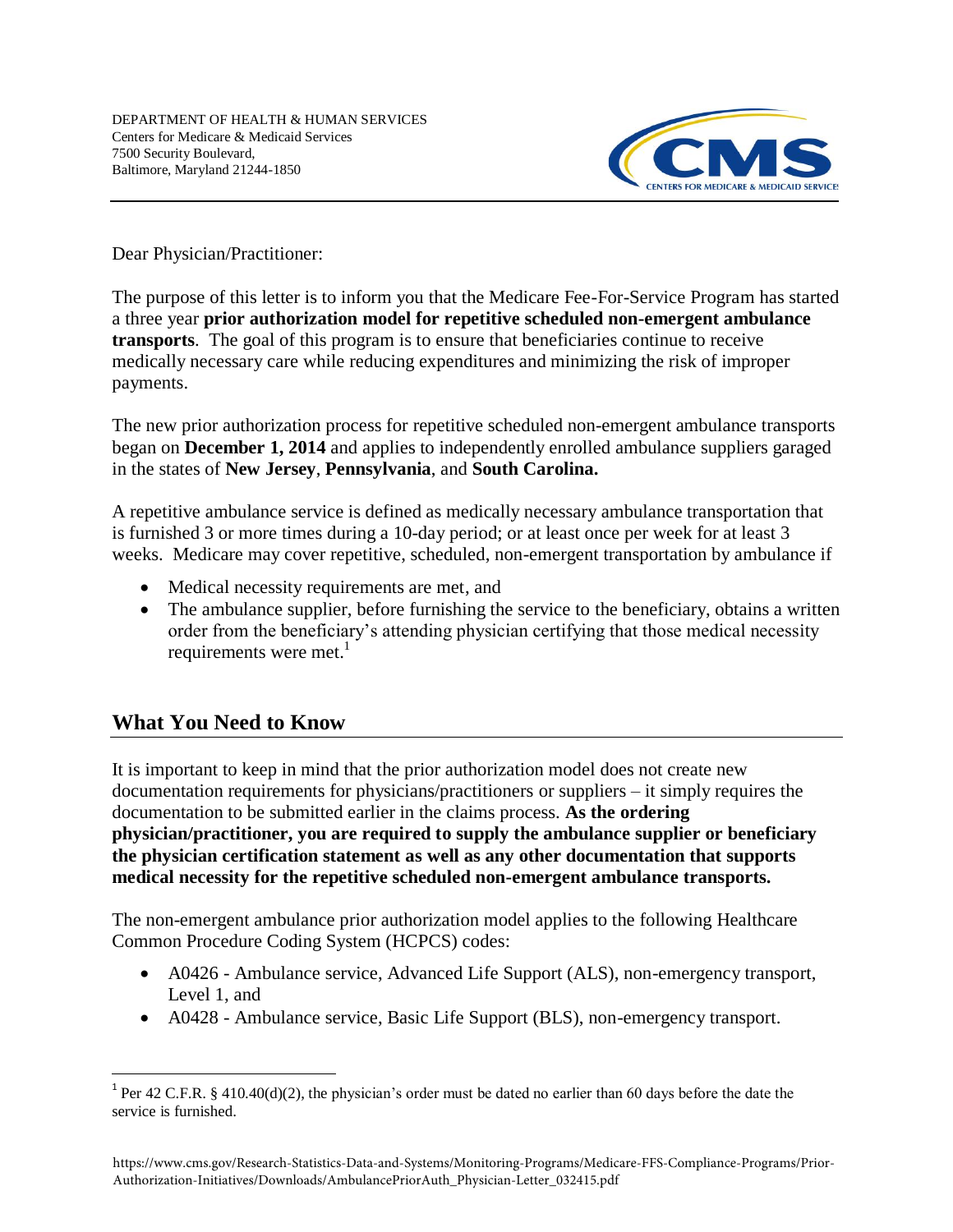

Dear Physician/Practitioner:

The purpose of this letter is to inform you that the Medicare Fee-For-Service Program has started a three year **prior authorization model for repetitive scheduled non-emergent ambulance transports**. The goal of this program is to ensure that beneficiaries continue to receive medically necessary care while reducing expenditures and minimizing the risk of improper payments.

The new prior authorization process for repetitive scheduled non-emergent ambulance transports began on **December 1, 2014** and applies to independently enrolled ambulance suppliers garaged in the states of **New Jersey**, **Pennsylvania**, and **South Carolina.** 

A repetitive ambulance service is defined as medically necessary ambulance transportation that is furnished 3 or more times during a 10-day period; or at least once per week for at least 3 weeks. Medicare may cover repetitive, scheduled, non-emergent transportation by ambulance if

- Medical necessity requirements are met, and
- The ambulance supplier, before furnishing the service to the beneficiary, obtains a written order from the beneficiary's attending physician certifying that those medical necessity requirements were met. $<sup>1</sup>$ </sup>

# **What You Need to Know**

It is important to keep in mind that the prior authorization model does not create new documentation requirements for physicians/practitioners or suppliers – it simply requires the documentation to be submitted earlier in the claims process. **As the ordering physician/practitioner, you are required to supply the ambulance supplier or beneficiary the physician certification statement as well as any other documentation that supports medical necessity for the repetitive scheduled non-emergent ambulance transports.**

The non-emergent ambulance prior authorization model applies to the following Healthcare Common Procedure Coding System (HCPCS) codes:

- A0426 Ambulance service, Advanced Life Support (ALS), non-emergency transport, Level 1, and
- A0428 Ambulance service, Basic Life Support (BLS), non-emergency transport.

<sup>&</sup>lt;sup>1</sup> Per 42 C.F.R. § 410.40(d)(2), the physician's order must be dated no earlier than 60 days before the date the service is furnished.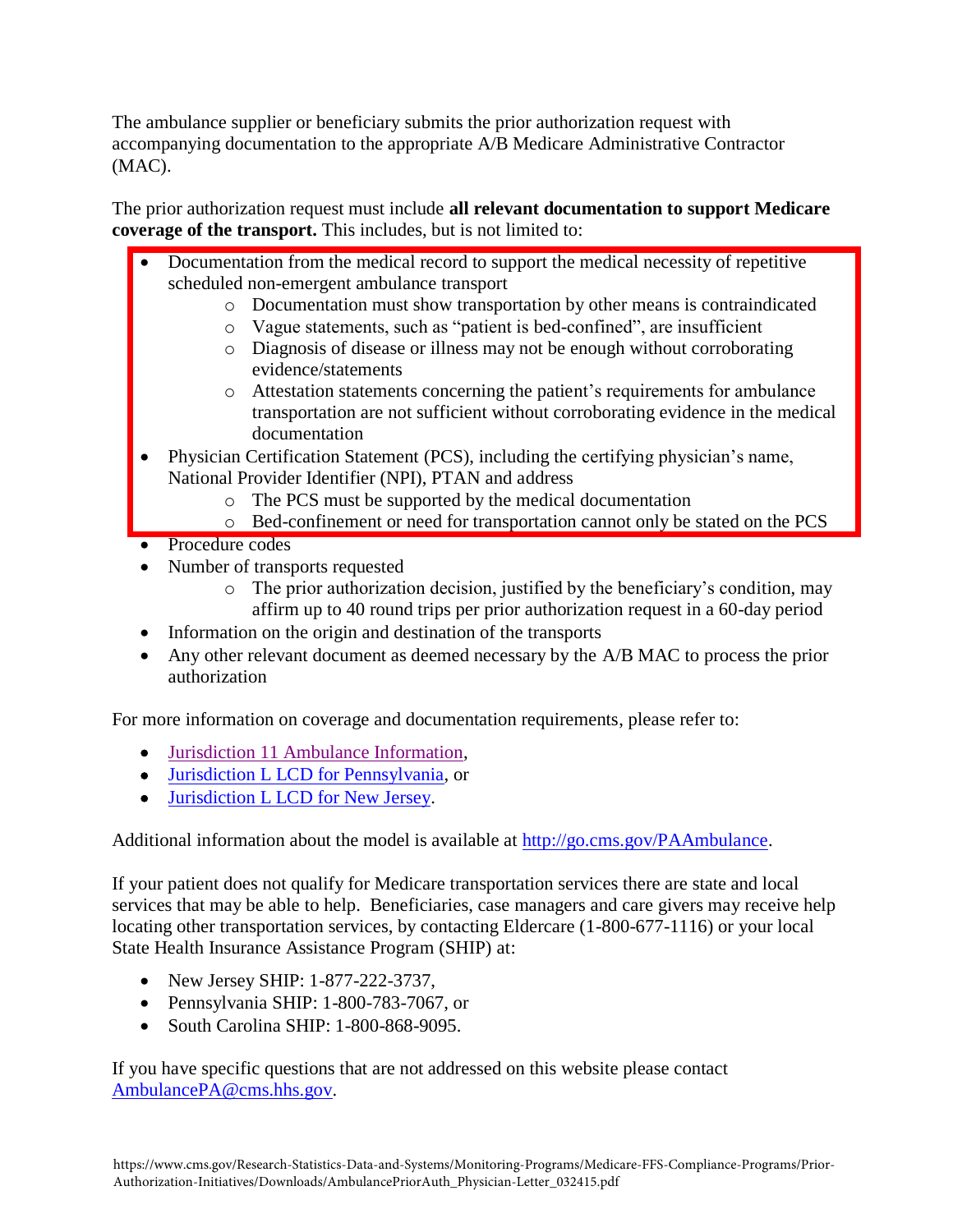The ambulance supplier or beneficiary submits the prior authorization request with accompanying documentation to the appropriate A/B Medicare Administrative Contractor (MAC).

The prior authorization request must include **all relevant documentation to support Medicare coverage of the transport.** This includes, but is not limited to:

- Documentation from the medical record to support the medical necessity of repetitive scheduled non-emergent ambulance transport
	- o Documentation must show transportation by other means is contraindicated
	- o Vague statements, such as "patient is bed-confined", are insufficient
	- o Diagnosis of disease or illness may not be enough without corroborating evidence/statements
	- o Attestation statements concerning the patient's requirements for ambulance transportation are not sufficient without corroborating evidence in the medical documentation
- Physician Certification Statement (PCS), including the certifying physician's name, National Provider Identifier (NPI), PTAN and address
	- o The PCS must be supported by the medical documentation
	- o Bed-confinement or need for transportation cannot only be stated on the PCS
- Procedure codes
- Number of transports requested
	- o The prior authorization decision, justified by the beneficiary's condition, may affirm up to 40 round trips per prior authorization request in a 60-day period
- Information on the origin and destination of the transports
- Any other relevant document as deemed necessary by the A/B MAC to process the prior authorization

For more information on coverage and documentation requirements, please refer to:

- [Jurisdiction 11 Ambulance Information,](http://www.palmettogba.com/palmetto/providers.nsf/docsCat/Providers~Jurisdiction%2011%20Part%20B~Browse%20by%20Specialty~Ambulance?open&expand=1&navmenu=Browse%5eby%5eSpecialty||)
- [Jurisdiction L LCD for Pennsylvania,](http://www.cms.gov/medicare-coverage-database/details/lcd-details.aspx?LCDId=32252&ContrId=323&ver=45&ContrVer=1&Date=10%2f24%2f2014&DocID=L32252&bc=iAAAAAgAAAAAAA%3d%3d&) or
- [Jurisdiction L LCD for New Jersey.](http://www.cms.gov/medicare-coverage-database/details/lcd-details.aspx?LCDId=32252&ContrId=322&ver=45&ContrVer=1&Date=10%2f24%2f2014&DocID=L32252&bc=iAAAAAgAAAAAAA%3d%3d&)

Additional information about the model is available at [http://go.cms.gov/PAAmbulance.](http://go.cms.gov/PAAmbulance)

If your patient does not qualify for Medicare transportation services there are state and local services that may be able to help. Beneficiaries, case managers and care givers may receive help locating other transportation services, by contacting Eldercare (1-800-677-1116) or your local State Health Insurance Assistance Program (SHIP) at:

- New Jersey SHIP: 1-877-222-3737,
- Pennsylvania SHIP: 1-800-783-7067, or
- South Carolina SHIP: 1-800-868-9095.

If you have specific questions that are not addressed on this website please contact [AmbulancePA@cms.hhs.gov.](mailto:AmbulancePA@cms.hhs.gov)